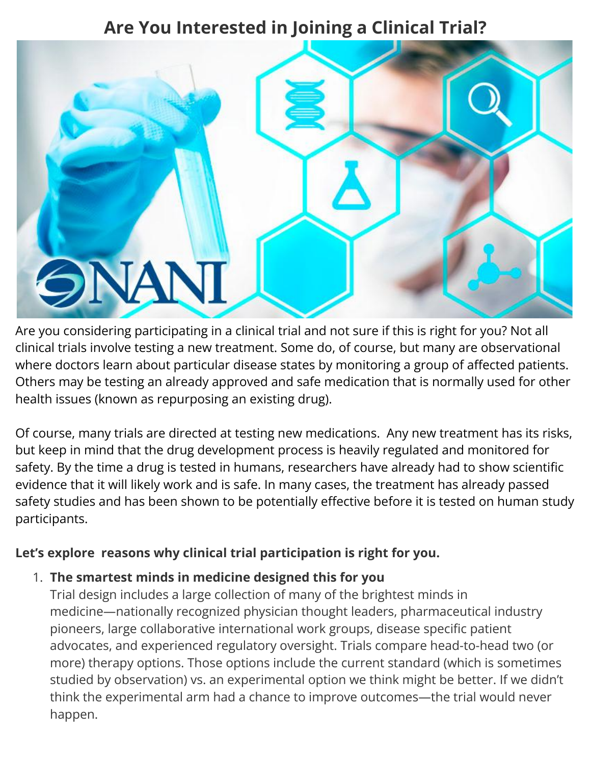# **Are You Interested in Joining a Clinical Trial?**



Are you considering participating in a clinical trial and not sure if this is right for you? Not all clinical trials involve testing a new treatment. Some do, of course, but many are observational where doctors learn about particular disease states by monitoring a group of affected patients. Others may be testing an already approved and safe medication that is normally used for other health issues (known as repurposing an existing drug).

Of course, many trials are directed at testing new medications. Any new treatment has its risks, but keep in mind that the drug development process is heavily regulated and monitored for safety. By the time a drug is tested in humans, researchers have already had to show scientific evidence that it will likely work and is safe. In many cases, the treatment has already passed safety studies and has been shown to be potentially effective before it is tested on human study participants.

### **Let's explore reasons why clinical trial participation is right for you.**

#### 1. **The smartest minds in medicine designed this for you**

Trial design includes a large collection of many of the brightest minds in medicine—nationally recognized physician thought leaders, pharmaceutical industry pioneers, large collaborative international work groups, disease specific patient advocates, and experienced regulatory oversight. Trials compare head-to-head two (or more) therapy options. Those options include the current standard (which is sometimes studied by observation) vs. an experimental option we think might be better. If we didn't think the experimental arm had a chance to improve outcomes—the trial would never happen.